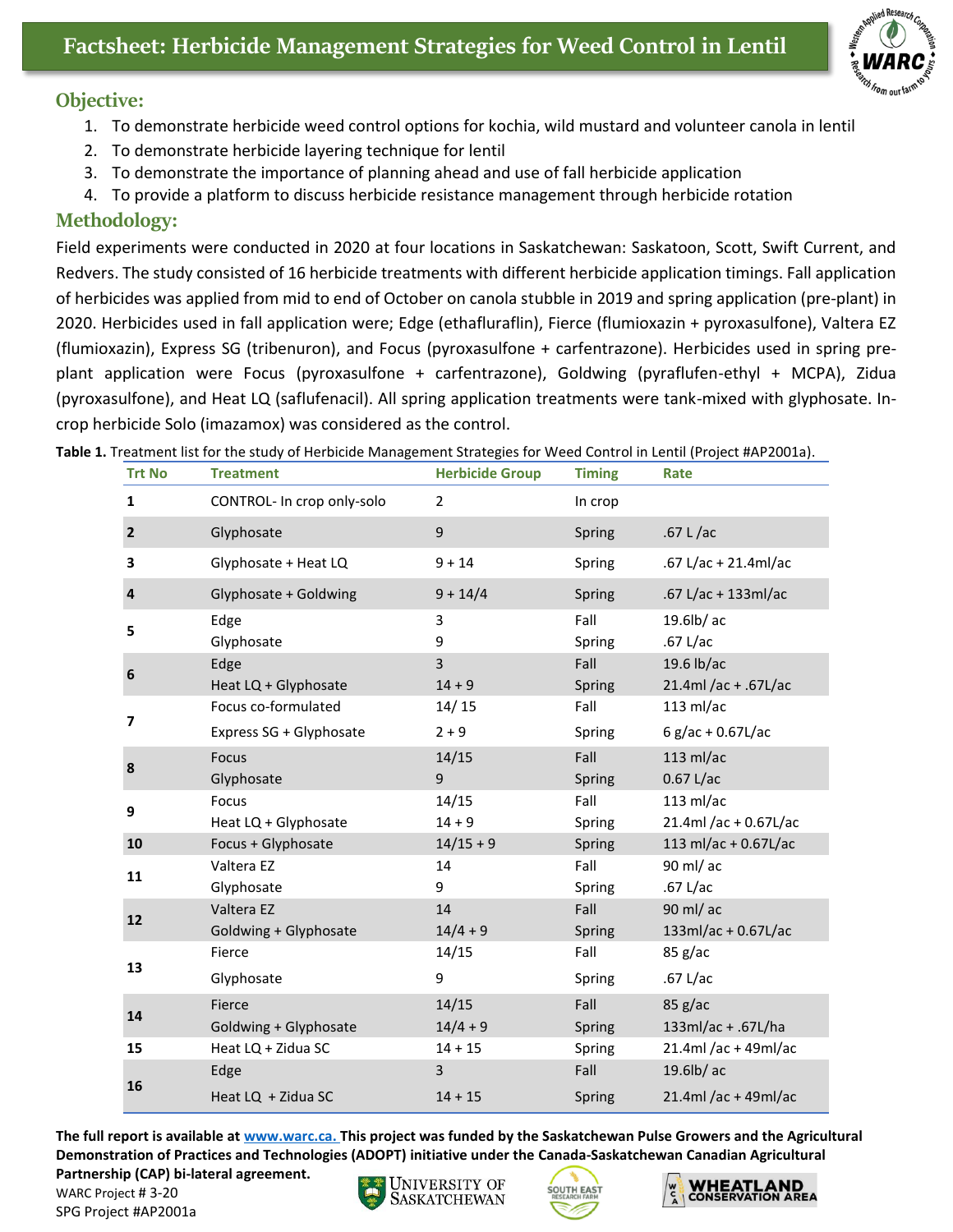## **Objective:**

- 1. To demonstrate herbicide weed control options for kochia, wild mustard and volunteer canola in lentil
- 2. To demonstrate herbicide layering technique for lentil
- 3. To demonstrate the importance of planning ahead and use of fall herbicide application
- 4. To provide a platform to discuss herbicide resistance management through herbicide rotation

## **Methodology:**

Field experiments were conducted in 2020 at four locations in Saskatchewan: Saskatoon, Scott, Swift Current, and Redvers. The study consisted of 16 herbicide treatments with different herbicide application timings. Fall application of herbicides was applied from mid to end of October on canola stubble in 2019 and spring application (pre-plant) in 2020. Herbicides used in fall application were; Edge (ethafluraflin), Fierce (flumioxazin + pyroxasulfone), Valtera EZ (flumioxazin), Express SG (tribenuron), and Focus (pyroxasulfone + carfentrazone). Herbicides used in spring preplant application were Focus (pyroxasulfone + carfentrazone), Goldwing (pyraflufen-ethyl + MCPA), Zidua (pyroxasulfone), and Heat LQ (saflufenacil). All spring application treatments were tank-mixed with glyphosate. Incrop herbicide Solo (imazamox) was considered as the control.

| <b>Trt No</b>  | <b>Treatment</b>           | <b>Herbicide Group</b> | <b>Timing</b> | Rate                  |
|----------------|----------------------------|------------------------|---------------|-----------------------|
| $\mathbf{1}$   | CONTROL- In crop only-solo | $\overline{2}$         | In crop       |                       |
| $\overline{2}$ | Glyphosate                 | 9                      | Spring        | .67 L/ac              |
| 3              | Glyphosate + Heat LQ       | $9 + 14$               | Spring        | .67 L/ac + 21.4ml/ac  |
| $\overline{4}$ | Glyphosate + Goldwing      | $9 + 14/4$             | Spring        | .67 L/ac + 133ml/ac   |
| 5              | Edge                       | 3                      | Fall          | 19.6lb/ac             |
|                | Glyphosate                 | 9                      | Spring        | .67 $L/ac$            |
| 6              | Edge                       | 3                      | Fall          | 19.6 lb/ac            |
|                | Heat LQ + Glyphosate       | $14 + 9$               | Spring        | 21.4ml /ac + .67L/ac  |
| $\overline{ }$ | Focus co-formulated        | 14/15                  | Fall          | $113$ ml/ac           |
|                | Express SG + Glyphosate    | $2 + 9$                | Spring        | 6 g/ac + $0.67$ L/ac  |
| 8              | <b>Focus</b>               | 14/15                  | Fall          | $113$ ml/ac           |
|                | Glyphosate                 | 9                      | Spring        | $0.67$ L/ac           |
| 9              | Focus                      | 14/15                  | Fall          | $113$ ml/ac           |
|                | Heat LQ + Glyphosate       | $14 + 9$               | Spring        | 21.4ml /ac + 0.67L/ac |
| 10             | Focus + Glyphosate         | $14/15 + 9$            | Spring        | 113 ml/ac + 0.67L/ac  |
| 11             | Valtera EZ                 | 14                     | Fall          | 90 ml/ ac             |
|                | Glyphosate                 | 9                      | Spring        | .67 $L/ac$            |
| 12             | Valtera EZ                 | 14                     | Fall          | 90 ml/ ac             |
|                | Goldwing + Glyphosate      | $14/4 + 9$             | Spring        | 133ml/ac + 0.67L/ac   |
| 13             | Fierce                     | 14/15                  | Fall          | 85 g/ac               |
|                | Glyphosate                 | 9                      | Spring        | .67 L/ac              |
| 14             | Fierce                     | 14/15                  | Fall          | $85$ g/ac             |
|                | Goldwing + Glyphosate      | $14/4 + 9$             | Spring        | 133ml/ac + .67L/ha    |
| 15             | Heat LQ + Zidua SC         | $14 + 15$              | Spring        | 21.4ml /ac + 49ml/ac  |
| 16             | Edge                       | 3                      | Fall          | 19.6lb/ac             |
|                | Heat LQ + Zidua SC         | $14 + 15$              | Spring        | 21.4ml /ac + 49ml/ac  |

## **Table 1.** Treatment list for the study of Herbicide Management Strategies for Weed Control in Lentil (Project #AP2001a).

**The full report is available at [www.warc.ca.](http://www.warc.ca/) This project was funded by the Saskatchewan Pulse Growers and the Agricultural Demonstration of Practices and Technologies (ADOPT) initiative under the Canada-Saskatchewan Canadian Agricultural** 

**Partnership (CAP) bi-lateral agreement.** WARC Project # 3-20

SPG Project #AP2001a